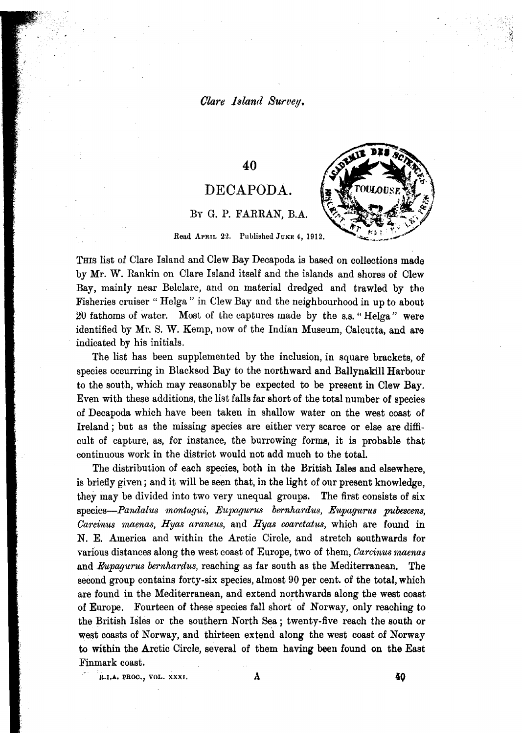### *Clare Island Survey.*

### 40

# DECAPODA.



# BY G. P. FARRAN, B.A.

Read APRIL 22. Published JUNE 4. 1912.

THIS list of Clare Island and Clew Bay Decapoda is based on collections made by Mr. W. Rankin on Clare Island itself and the islands and shores of Clew Bay, mainly near Belclare, and on material dredged and trawled by the Fisheries cruiser" Helga" in Clew Bay and the neighbourhood in up to about 20 fathoms of water. Most of the captures made by the S.s." Helga" were identified by Mr. S. W. Kemp, now of the Indian Museum, Calcutta, and are indicated by his initials.

The list has been supplemented by the inclusion, in square brackets, of species occurring in Blacksod Bay to the northward and Ballynakill Harbour to the south, which may reasonably be expected to be present in Clew Bay. Even with these additions, the list falls far short of the total number of species of Decapoda which have been taken in shallow water on the west coast of Ireland; but as the missing species are either very scarce or else are difficult of capture, as, for instance, the burrowing forms, it is probable that continuous work in the district would not add much to the total.

The distribution of each species, both in the British Isles and elsewhere, is briefly given; and it will be seen that, in the light of our present knowledge, they may be divided into two very unequal groups. The first consists of six *species-Pandalus montagui, .Eupagu'fUS bernhardus, Eupagu'fUs pubescens, Carcinus maenas, Hyas araneus,* and *Hyas coarctattts,* which are found in N. E. America and within the Arctic Circle, and stretch southwards for various distances along the west coast of Europe, two of them, *Oarcinusmaenas* and *Eupagurus bernhardus,* reaching as far south as the Mediterranean. The second group contains forty-six species, almost 90 per cent. of the total, which are found in the Mediterranean, and extend northwards along the west coast of Europe. Fourteen of these species fall short of Norway, only reaching to the British ISles or the southern North Sea; twenty-five reach the south or west coasts of Norway, and thirteen extend along the west coast of Norway to within the Arctic Circle, several of them having been found on the East Finmark coast.

J~.I.A. PROC., VOL. XX)l:I. A **40**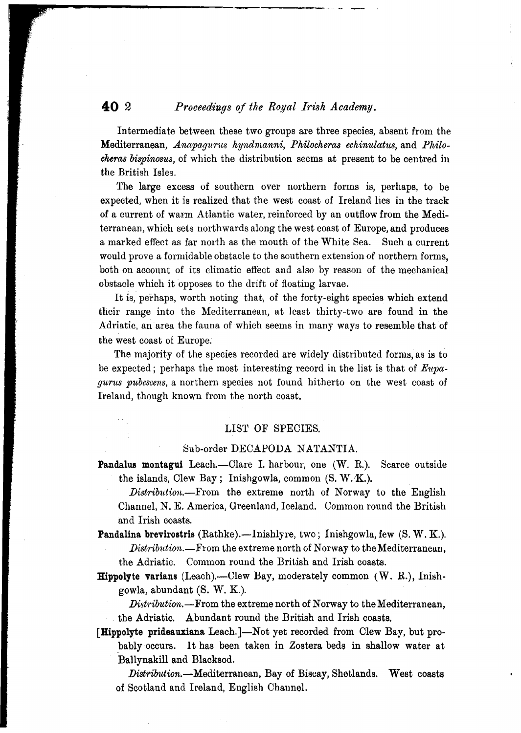### **40** 2 *Proceedings of the Royal Irish Academy.*

Intermediate between these two groups are three species, absent from the Mediterranean, *Anapagurus hyndmanni*, *Philocheras echinulatus*, and *Philocheras bispinosus,* of which the distribution seems at present to be centred in the British Isles.

 $\cdot$  -

The large excess of southern over northern forms is, perhaps, to be expected, when it is realized that the west coast of Ireland lies in the track of a current of warm Atlantic water, reinforced by an outflow from the Mediterranean, which sets northwards along the west coast of Europe, and produces a marked effect as far north as the mouth of the White Sea. Such a current would prove a formidable obstacle to the southern extension of northern forms, both on account of its climatic effect and also by reason of the mechanical obstacle which it opposes to the drift of floating larvae.

It is, perhaps, worth noting that, of the forty-eight species which extend their range into the Mediterranean, at least thirty-two are found in the Adriatic, an. area the fauna of which seems in many ways to resemble that of the west coast of Europe.

The majority of the species recorded are widely distributed forms, as is to be expected; perhaps the most interesting record in the list is that of *E11pagurus pubescens,* a northern species not found hitherto on the west coast of Ireland, though known from the north coast.

#### LIST OF SPECIES.

### Sub-order DECAPODA NATANTIA.

- Pandalus montagui Leach.—Clare I. harbour, one (W. R.). Scarce outside the islands, Clew Bay; Inishgowla, common (S. W.X.).
	- *Distribution.-From* the extreme north of Norway to the English Channel, N. E. America, Greenland, Iceland. Common round the British and Irish coasts.
- Pandalina brevirostris (Rathke).-Inishlyre, two; Inishgowla, few  $(S, W, K)$ . *Distribution.*—From the extreme north of Norway to the Mediterranean, the Adriatic. Common round the British and Irish coasts.

Hippolyte varians (Leach).--Clew Bay, moderately common  $(W. R.)$ , Inishgowla, abundant (S. W. K.).

*Distribution.*— From the extreme north of Norway to the Mediterranean, the Adriatic. Abundant round the British and Irish coasts.

[Hippolyte prideauxiana Leach.]-Not yet recorded from Clew Bay, but probablyoccurs. It has been taken in Zostera beds in shallow water at Ballynakill and Blacksod.

*Distribution.-Mediterranean,* Bay of Biscay, Shetlands. West coasts of Scotland and Ireland, English Channel.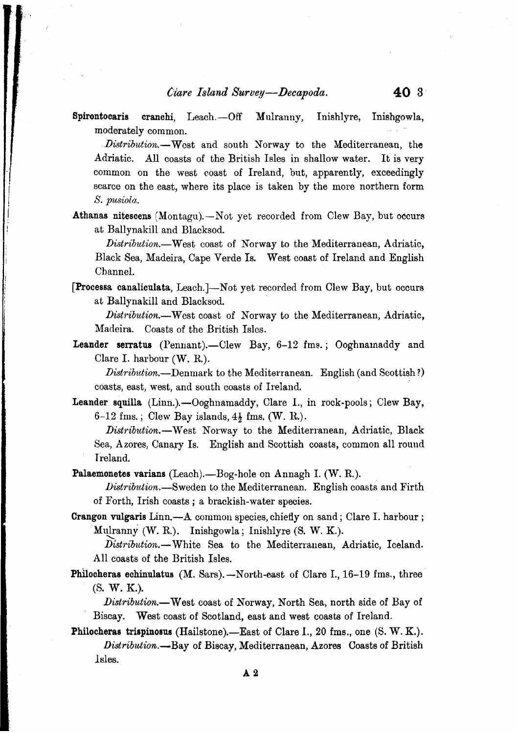Spirontocaris cranchi, Leach.--Off Mulranny, Inishlyre, Inishgowla, moderately common.

Distribution.--West and south Norway to the Mediterranean, the Adriatic. All coasts of the British Isles in shallow water. It is very common on the west eoast of Ireland, but, apparently, exceedingly scarce on the east, where its place is taken by the more northern form *S. pusiola.*

Athanas nitescens  $(Montagu)$ .  $\rightarrow$  Not yet recorded from Clew Bay, but occurs at Ballynakill and Blacksod.

*Distribution.-West* coast of Norway to the Mediterranean, Adriatic, Black Sea, Madeira, Cape Verde Is. West coast of Ireland and English Channel.

[Processa canaliculata, Leach.]-Not yet recorded from Clew Bay, but occurs at Ballynakill and Blacksod. .

*Distribution.-* West coast of Norway to the Mediterranean, Adriatic, Madeira. Coasts of the British Isles.

Leander serratus (Pennant).-Clew Bay, 6-12 fms.; Ooghnamaddy and Clare I. harbour (W. R.).

*Distribution.*—Denmark to the Mediterranean. English (and Scottish?) . . coasts, east, west, and south coasts of Ireland.

**Leander squilla**  $(Linn.)$ —Ooghnamaddy, Clare I., in rock-pools; Clew Bay, 6-12 fms.; Clew Bay islands,  $4\frac{1}{2}$  fms. (W. R.).

*Distribution.-* West Norway to the Mediterranean, Adriatic, Black Sea, Azores, Canary Is. English and Scottish coasts, common all round Ireland.

**Palaemonetes varians** (Leach).-Bog-hole on Annagh I. (W. R.).

- *Distribution.-Sweden* to the Mediterranean. English coasts and Firth of Forth, Irish coasts; a brackish-water species.
- Crangon vulgaris Linn.-A common species, chiefly on sand; Clare 1. harbour; Mulranny (W. R.). Inishgowla; Inishlyre (S. W. K.).

Distribution.--White Sea to the Mediterranean, Adriatic, Iceland. All coasts of the British Isles.

**Philocheras echinulatus** (M. Sars). $-$ North-east of Clare I., 16-19 fms., three (S. W. K.).

*Distribution.-* West coast of Norway, North Sea, north side of Bay of Biscay. West coast of Scotland, east and west coasts of Ireland.

**Philocheras trispinosus (Hailstone).**-East of Clare I., 20 fms., one  $(S, W, K)$ . *Distribution.-Bay* of Biscay, Mediterranean, Azores Coasts of British Isles.

.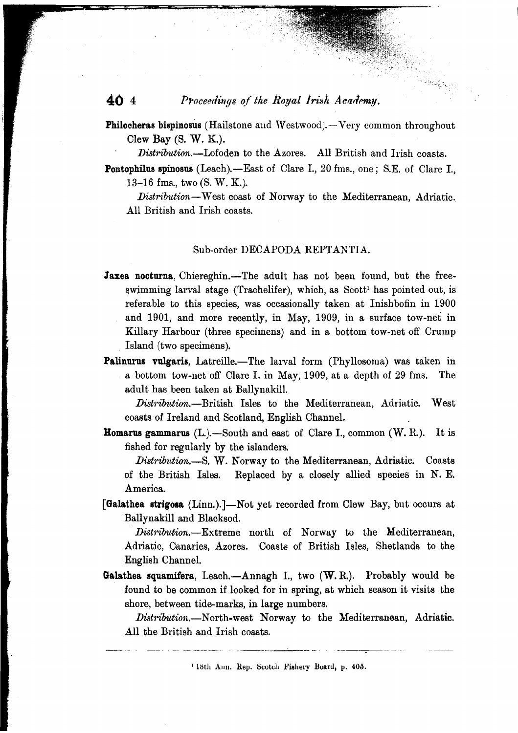# **40 4** *Proceedings of the Royal Irish Academy.*

**Philocheras bispinosus** (Hailstone and Westwood). $-$ Very common throughout Clew Bay (S. W. K.).

*Distribution.-Lofoden* to the Azores. All British and Irish coasts.

Pontophilus spinosus (Leach).-East of Clare I., 20 fms., one; S.E. of Clare I., 13-16 fms., two (S. W. K.).

*Distribution-* West coast of Norway to the Mediterranean, Adriatic.. All British and Irish coasts.

### Sub-order DECAPODA REPTANTIA.

- **Jaxea nocturna**, Chiereghin.--The adult has not been found, but the freeswimming larval stage (Trachelifer), which, as  $S\text{cott}^1$  has pointed out, is referable to this species, was occasionally taken at Inishbofin in 1900 and 1901, and more recently, in May, 1909, in a surface tow-net in Killary Harbour (three specimens) and in a bottom tow-net off Crump Island (two specimens).
- Palinurus vulgaris, Latreille.-The larval form (Phyllosoma) was taken in a bottom tow-net off Clare 1. in May, 1909, at a depth of 29 fms. The adult has been taken at Ballynakill.

Distribution.---British Isles to the Mediterranean, Adriatic. West coasts of Ireland and Scotland, English Channel.

**Homarus gammarus**  $(L)$ .-South and east of Clare I., common  $(W, R)$ . It is fished for regularly by the islanders.

*Distribution.-S.* W. Norway to the Mediterranean, Adriatic. Coasts of the British Isles. Replaced by a closely allied species in N. E. America,

[Galathea strigosa (Linn.).]-Not yet recorded from Clew Bay, but occurs at Ballynakill and Blacksod.

*Distribution.-Extreme* north of Norway to the Mediterranean, Adriatic, Canaries, Azores. Coasts of British Isles, Shetlands to the English Channel.

Galathea squamifera, Leach. $-Annagh$  I., two  $(W, R)$ . Probably would be found to be common if looked for in spring, at which season it visits the shore, between tide-marks, in large numbers.

*Distribution.*—North-west Norway to the Mediterranean, Adriatic. All the British and Irish coasts.

<sup>&</sup>lt;sup>1</sup> 18th Ann. Rep. Scotch Fishery Board, p. 405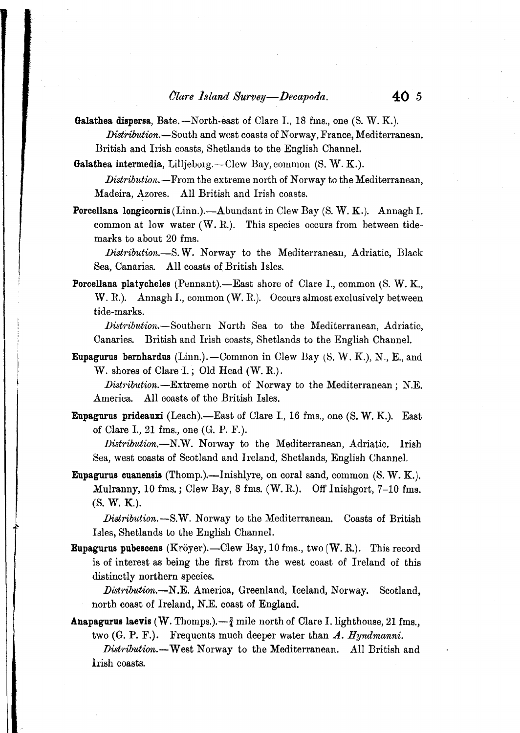Galathea dispersa, Bate.  $-$  North-east of Clare I., 18 fms., one  $(S, W, K)$ .

*Distribution.-South* and west coasts of Norway, France, Mediterranean. British and Irish coasts, Shetlands to the English Channel.

Galathea intermedia, Lilljeborg.—Clew Bay, common  $(S, W, K)$ .

*Distribution.* - From the extreme north of Norway to the Mediterranean, Madeira, Azores. All British and Irish coasts.

Porcellana longicornis (Linn.).--Abundant in Clew Bay (S. W. K.). Annagh I. common at low water (W. R.). This species occurs from between tidemarks to about 20 *fms.*

Distribution.-S.W. Norway to the Mediterranean, Adriatic, Black Sea, Canaries. All coasts of British Isles.

**Porcellana platycheles** (Pennant).---East shore of Clare I., common  $(S, W, K)$ . W. R.). Annagh I., common (W. R.). Occurs almost exclusively between tide-marks.

*JJistribution.-Southern* North Sea to the Mediterranean, Adriatic, Canaries. British and Irish coasts, Shetlands to the English Channel.

Eupagurus bernhardus  $(Linn.)$ . --Common in Clew Bay  $(S, W, K)$ , N., E., and W. shores of Clare 1.; Old Head (W. R.).

*Distribution.*—Extreme north of Norway to the Mediterranean; N.E. America. All coasts of the British Isles.

Eupagurus prideauxi (Leach).-East of Clare I., 16 fms., one (S. W. K.). East of Clare 1, 21 *fms.,* one (G. P. F.).

*Distribution.-N.W.* Norway to the Mediterranean, Adriatic. Irish Sea, west coasts of Scotland and Jreland, Shetlands, English Channel.

Eupagurus cuanensis (Thomp.).-Jnishlyre, on coral sand, common (S. W. K.). Mulranny, 10 *fms.* ; Clew Bay, 8 *fms.* (W. R.). Off Inishgort, 7-10 fms. (S. W. K.).

*Distribution.*—S.W. Norway to the Mediterranean. Coasts of British Isles, Shetlands to the English Channel.

Eupagurus pubescens (Kroyer).-Clew Bay, 10 *fms.,* two (W. R.). This record is of interest as being the first from the west coast of Ireland of this distinctly northern species.

~

*Distribution.-N.E.* America, Greenland, Iceland, Norway. Scotland, north coast *of* Ireland, N.E. coast of England.

**Anapagurus laevis** (W. Thomps.). $-\frac{3}{4}$  mile north of Clare I. lighthouse, 21 fms., two (G. P. F.). Frequents much deeper water than A. *Hyndmanni.*

*Distribution.*-West Norway to the Mediterranean. All British and Irish coasts.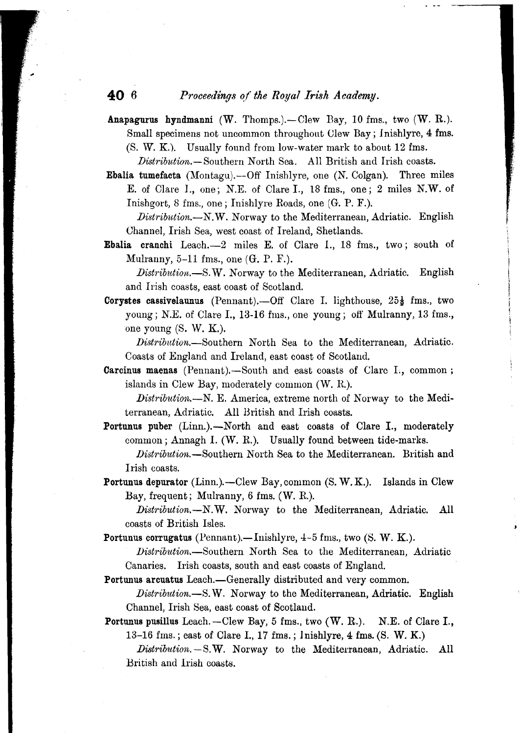### **40 6** *Proceedings of the Royal Irish Academy.*

Anapagurus hyndmanni  $(W. Thomes.)$ . - Clew Bay, 10 fms., two  $(W. R.)$ . Small specimens not uncommon throughout Clew Bay; Inishlyre, 4 *fms.* (S. W. K.). Usually found *from* low-water mark to about 12 *fms.*

*Distribution.-Southern* North Sea. All British and Irish coasts.

Ebalia tumefacta (Montagu).--Off Inishlyre, one *(N.* Colgan). Three miles E. of Clare 1., one; N.E. of Clare 1., 18 *fms.,* one; 2 miles N.W. of Inishgort, 8 *fms.,* one; Inishlyre Roads, one (G. P. F.).

*Distribution.-N.W.* Norway to the Mediterranean, Adriatic. English Ohannel, Irish Sea, west coast of Ireland, Shetlands.

- Ebalia cranchi Leach.-2 miles E. of Clare 1., 18 *fms.,* two; south of Mulranny, 5-11 *fms.,* one (G. P. F.).
	- *Distribution.*—S.W. Norway to the Mediterranean, Adriatic. English and Irish coasts, east coast of Scotland.
- **Corystes cassivelaunus** (Pennant).—Off Clare I. lighthouse,  $25\frac{1}{9}$  fms., two young; N.E. of Clare I., 13-16 fms., one young; off Mulranny, 13 *fms.,* one young (S. W. K.).

*Distribution.-Southern* North Sea to the Mediterranean, Adriatic. Coasts of England and Ireland, east coast of Scotland.

Carcinus maenas (Pennant).-South and east coasts of Clare I., common; islands in Clew Bay, moderately common (W. R).

*Distribution.*—N. E. America, extreme north of Norway to the Mediterranean, Adriatic. All British and Irish coasts.

- Portunus puber (Linn.).—North and east coasts of Clare I., moderately common; Annagh 1. (W. R.). Usually found between tide-marks. Distribution.-Southern North Sea to the Mediterranean. British and Irish coasts.
- Portunus depurator (Linn.).—Clew Bay, common (S. W. K.). Islands in Clew Bay, frequent; Mulranny, 6 fms. (W. R.).

*Distribution.-N.W.* Norway to the Mediterranean, Adriatic. All coasts of British Isles.

Portunus corrugatus (Pennant).—Inishlyre,  $4-5$  fms., two  $(S, W, K)$ .

*Distribution.-Southern* North Sea to the Mediterranean, Adriatic Canaries. Irish coasts, south and east coasts of England.

Portunus arcuatus Leach.—Generally distributed and very common.

*Distribution.-S.* W. Norway to the Mediterranean, Adriatic. English Channel, Irish Sea, east coast of Scotland.

Portunus pusillus Leach. - Clew Bay, 5 fms., two (W. R.). N.E. of Clare I., 13-16 fms.; east of Clare I., 17 fms.; Inishlyre, 4 fms. (S. W. K.)

Distribution. - S.W. Norway to the Mediterranean, Adriatic. All British and Irish coasts.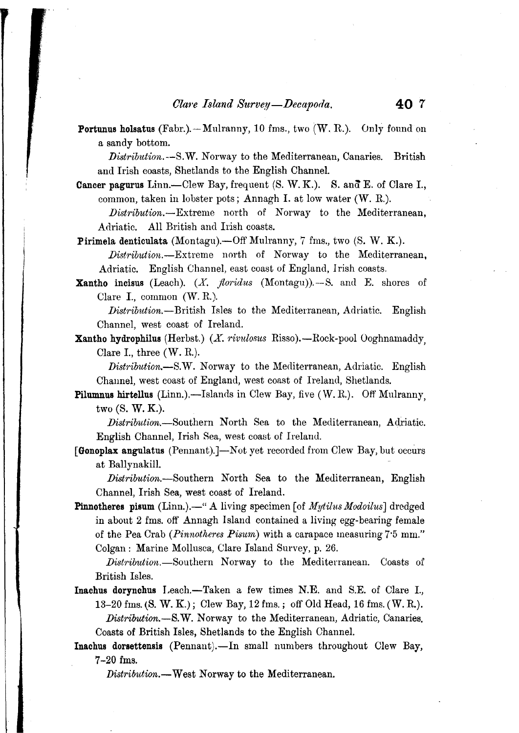**Portunus holsatus (Fabr.).**-Mulranny, 10 fms., two  $(W, R)$ . Only found on a sandy bottom.

Distribution. --S.W. Norway to the Mediterranean, Canaries. British and Irish coasts, Shetlands to the English Channel.

- Cancer pagurus Linn.--Clew Bay, frequent (S. W. K.). S. and E. of Clare I., common, taken in lobster pots; Annagh 1. at low water (W. R.).
	- Distribution.-Extreme north of Norway to the Mediterranean, Adriatic. All British and Irish coasts.

Pirimela denticulata (Montagu).--Off Mulranny, 7 fms., two (S. W. K.).

- *Distribution.-Extreme* north of Norway to the Mediterranean, Adriatic. English Channel, east coast of England, Irish coasts.
- **Xantho incisus** (Leach).  $(X,$  *floridus* (Montagu)).--S. and E. shores of Clare I., common (W. R.).

*Distribution.-British* Isles to the Mediterranean, Adriatic. English Channel, west coast of Ireland.

Xantho hydrophilus (Herbst.) (X. rivulosus Risso).—Rock-pool Ooghnamaddy, Clare I., three  $(W, R)$ .

*Distribution.-S.W.* Norway to the Mediterranean, Adriatic. English Channel, west coast of England, west coast of Ireland, Shetlands.

**Pilumnus hirtellus** (Linn.).—Islands in Clew Bay, five  $(W, R)$ . Off Mulranny, two (S. W. K.).

*Distribution.*-Southern North Sea to the Mediterranean, Adriatic. English Channel, Irish Sea, west coast of Ireland.

[Gonoplax angulatus (Pennant).]-Not yet recorded from Clew Bay, but occurs at Ballynakill.

*Distribution.-Southern* North Sea to the Mediterranean, English Channel, Irish Sea, west coast of Ireland.

**Pinnotheres pisum** (Linn.).—" A living specimen [of *Mytilus Modoilus*] dredged in about 2 fms. off Annagh Island contained a living egg-bearing female of the Pea Orab *(Pinnotheres Pisum)* with a carapace measuring 7'5 mm." Colgan: Marine Mollusca, Clare Island Survey, p. 26.

*Distribution.-Southern* Norway to the Mediterranean. Coasts of British Isles.

- Inachus dorynchus Leach.-Taken a few times N.E. and S.E. of Clare I., 13-20 fms. (S. W. *K.);* Clew Bay, 12 fms.; off Old Head, 16 fms. (W. R.). *Distribution.-S.W.* Norway to the Mediterranean, Adriatic, Canaries. Coasts of British Isles, Shetlands to the English Ohannel.
- Inachus dorsettensis (Pennant).-In small numbers throughout Clew Bay, 7-20 fms.

*Distribution.-* West Norway to the Mediterranean.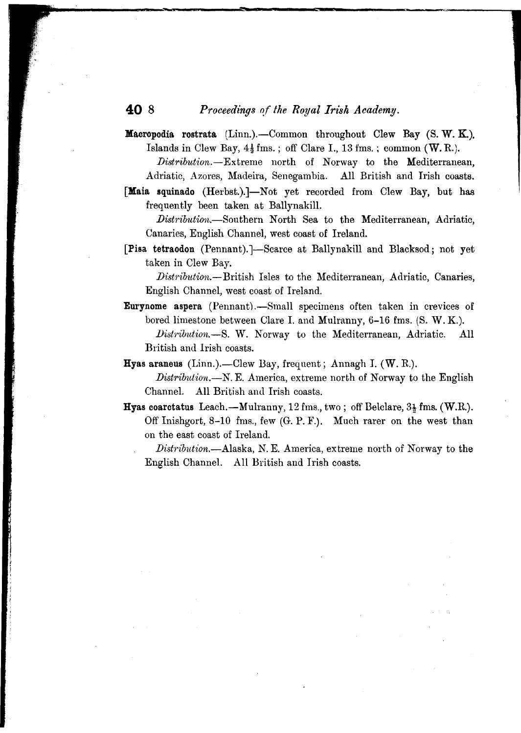# **40 8** *Proceedings of the Royal Irz'sh Academy.*

~- --

- **Macropodia rostrata** (Linn.).—Common throughout Clew Bay  $(S, W, K)$ . Islands in Clew Bay,  $4\frac{1}{2}$  fms.; off Clare I., 13 fms.; common (W.R.). *.Distribution.-Extreme* north of Norway to the Mediterranean, Adriatic, Azores, Madeira, Senegambia. All British and Irish coasts.
- [Maia squinado (Herbst.).]-Not yet recorded from Clew Bay, but has frequently been taken at Ballynakill.

*Distribution.*-Southern North Sea to the Mediterranean, Adriatic, Canaries, English Channel, west coast of Ireland.

[Pisa tetraodon (Pennant).]-Scarce at Ballynakill and Blacksod; not yet taken in Clew Bay.

*.Dist?'ibution.-British* Isles to the Mediterranean, Adriatic, Canaries, English Channel, west coast of Ireland.

Eurynome aspera (Pennant).-Small specimens often taken in crevices of bored limestone between Clare 1. and Mulranny, 6-16 fms. (S. W. K.). *lJist'l'ibulion.-S.* W. Norway to the Mediterranean, Adriatic. All British and Irish coasts.

Hyas araneus (Linn.).--Clew Bay, frequent; Annagh I.  $(W, R)$ .

*Distribution.*—N. E. America, extreme north of Norway to the English Channel. All British and Irish coasts.

**Hyas coarctatus** Leach. $-M$ ulranny, 12 fms., two; off Belclare,  $3\frac{1}{2}$  fms. (W.R.). Off Inishgort, 8-10 fms., few (G. P. F.). Much rarer on the west than on the east coast of Ireland.

*Distribution.*—Alaska, N. E. America, extreme north of Norway to the English Channel. All British and Irish coasts.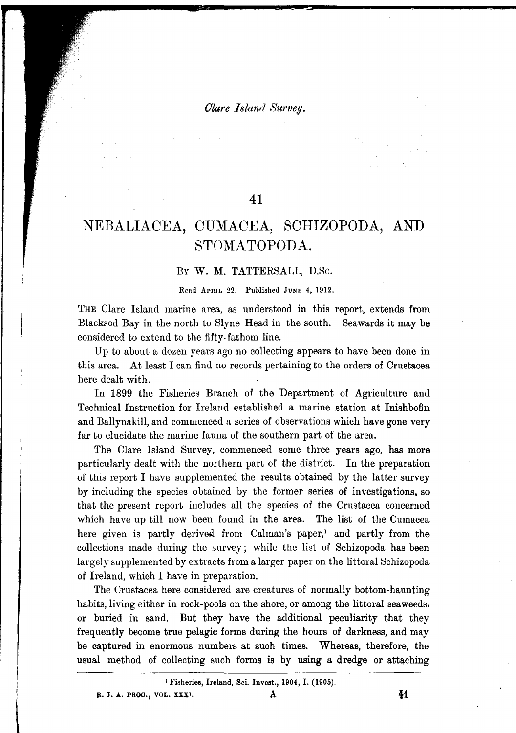*Olare I.~land Survey.*

### **41**

# NEBALIACEA, CUMACEA, SCHIZOPODA, AND STOMATOPODA.

#### By. W. M. TATTERSALL, D.Se.

Read APRIL 22. Published JUNE 4, 1912.

THE Clare Island marine area, as understood in this report, extends from Blacksod Bay in the north to Slyne Head in the south. Seawards it may be considered to extend to the fifty-fathom line.

Up to about a dozen years ago no collecting appears to have been done in this area. At least I can find no records pertaining to the orders of Crustacea here dealt with.

In 1899 the Fisheries Branch of the Department of Agriculture and Technical Instruction for Ireland established a marine station at Inishbofin and Ballynakill, and commenced a series of observations which have gone very far to elucidate the marine fauna of the southern part of the area.

The Clare Island Survey, commenced some three years ago, has more particularly dealt with the northern part of the district. In the preparation of this report I have supplemented the results obtained by the latter survey by including the species obtained by the former series of investigations, so that the present report includes all the species of the Crustacea concerned which have up till now been found in the area. The list of the Cumacea here given is partly derived from Calman's paper,<sup>1</sup> and partly from the collections made during the survey; while the list of Schizopoda has been largely supplemented by extracts from a larger paper on the littoral Schizopoda of Ireland, which I have in preparation.

The Crustacea here considered are creatures of normally bottom-haunting habits, living either in rock-pools on the shore, or among the littoral seaweeds, or buried in sand. But they have the additional peculiarity that they frequently become true pelagic forms during the hours of darkness, and may be captured in enormous numbers at such times. Whereas, therefore, the usual method of collecting such forms is by using a dredge or attaching

<sup>1</sup> Fisheries, Ireland, Sci. Invest., 1904, I. (1905).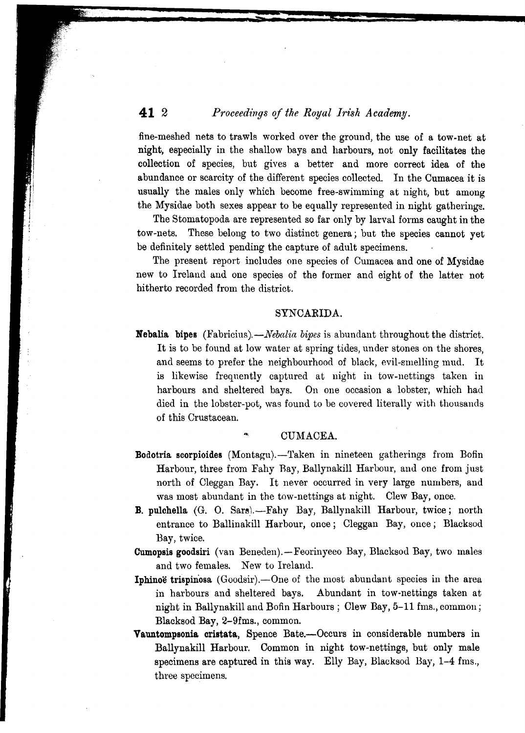# **41 2** *Proceedings of the Royal Irish Academy.*

fine-meshed nets to trawls worked over the ground, the use of a tow-net at night, especially in the shallow bays and harbours, not only facilitates the collection of species, but gives a better and more correct idea of the abundance or scarcity of the different species collected. In the Cumacea it is usually the males only which become free-swimming at night, but among the Mysidae both sexes appear to be equally represented in night gatherings.

The Stomatopoda are represented so far only by larval forms caught in the tow-nets. These belong to two distinct genera; but the species cannot yet be definitely settled pending the capture of adult specimens.

The present report includes one species of Cumacea and one of Mysidae new to Ireland and one species of the former and eight of the latter not hitherto recorded from the district.

#### SYNCARIDA.

Nebalia bipes *(Fabricius).-Nebalia bipes*is abundant throughout the district. It is to be found at low water at spring tides, under stones on the shores, and seems to prefer the neighbourhood of black, evil-smelling mud. It is likewise frequently captured at night in tow-nettings taken in harbours and sheltered bays. On one occasion a lobster, which had died in the lobster-pot, was found to be covered literally with thousands of this Crustacean.

#### CUMACEA.

- Bodotria scorpioides (Montagu).--Taken in nineteen gatherings from Bofin Harbour, three from Fahy Ray, Ballynakill Harbour, and one from just north of Oleggan Bay. It never occurred in very large numbers, and was most abundant in the tow-nettings at night. Clew Bay, once.
- B. pulchella (G. O. Sars).-Fahy Bay, Ballynakill Harbour, twice; north entrance to Ballinakill Harbour, once; Cleggan Bay, once; Blacksod Bay, twice.

Cumopsis goodsiri (van Beneden).--Feorinyeeo Bay, Blacksod Bay, two males and two females. New to Ireland.

- Iphinoe trispinosa (Goodsir).—One of the most abundant species in the area in harbours and sheltered bays. Abundant in tow-nettings taken at night in Ballynakill and Bofin Harbours; Clew Bay, 5-11 fms., common; Blacksod Bay, 2-9fms., common.
- Vauntompsonia cristata, Spence Bate.--Occurs in considerable numbers in Ballynakill Harbour. Common in night tow-nettings, but only male specimens are captured in this way. Elly Bay, Blacksod Bay, 1-4 fms., three specimens.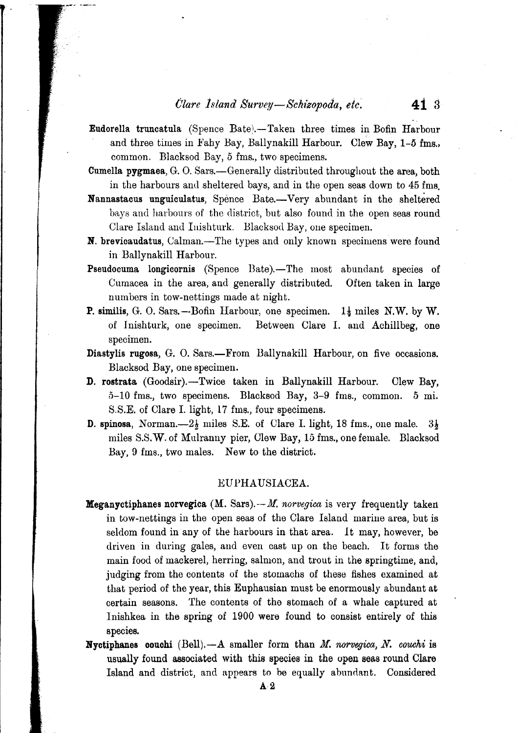- Eudorella truncatula (Spence Bate\-Taken three times in Bofin Harbour and three times in Fahy Bay, Ballynakill Harbour. Clew Bay, 1-5 fms., common. Blacksod Bay, 5 fms., two specimens.
- Cumella pygmaea, G. O. Sars.-Generally distributed throughout the area, both in the harbours and sheltered bays, and in the open seas down to 45 fms.
- Nannastacus unguiculatus, Spence Bate.- Very abundant in the sheltered bays and harbours of the district, but also found in the open seas round Clare Island and Inishturk. Blacksod Bay, one specimen.
- N. brevicaudatus, Calman.-The types and only known specimens were found in Ballynakill Harbour.
- Pseudocuma longicornis (Spence Bate).—The most abundant species of Cumacea in the area, and generally distributed. numbers in tow-nettings made at night. Often taken in large
- **P.** similis, G. O. Sars. --Bofin Harbour, one specimen.  $1\frac{1}{2}$  miles N.W. by W. of lnishturk, one specimen. Between Clare 1. and Achillbeg, one specimen.
- Diastylis rugosa, G. O. Sars.-From Ballynakill Harbour, on five occasions. Blacksod Bay, one specimen.
- D. rostrata (Goodsir).-Twice taken in Ballynakill Harbour. Clew Bay, 5-10 fms., two specimens. Blacksod Bay, 3-9 fms., common. 5 ml. S.S.E. of Clare I. light, 17 fms., four specimens;
- **D. spinosa, Norman.**- $-2\frac{1}{2}$  miles S.E. of Clare I. light, 18 fms., one male.  $3\frac{1}{2}$ miles S.S.W. of Mulranny pier, Clew Bay, 15 fms., one female. Blacksod Bay, 9 fms., two males. New to the district.

#### EU PHA USIACEA.

- Meganyctiphanes norvegica (M. Sars).--M: *norvegica* is very frequently taken in tow-nettings in the open seas of the Clare Island marine area, but is seldom found in any of the harbours in that area. *It* may, however, be driven in during gales, and even cast up on the beach. It forms the main food of mackerel, herring, salmon, and trout in the springtime, and, judging from the contents of the stomachs of these fishes examined at that period of the year, this Euphausian must be enormously abundant at certain seasons. The contents of the stomach of a whale captured at lnishkea in the spring of 1900 were found to consist entirely of this species.
- Nyctiphanes oouohi (Bell).-A smaller form than *M. norvegica,N. couchi* is usually found associated with this species in the open seas round Clare Island and district, and appears to be equally abundant. Considered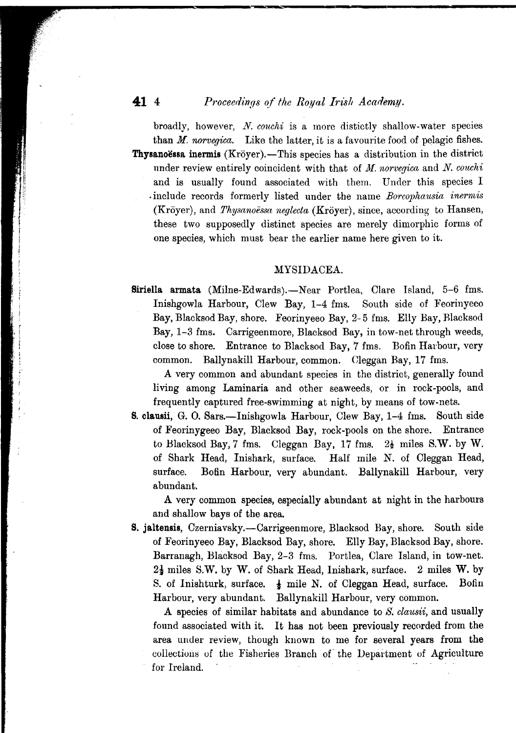### **41 4** *Proceedings of the Royal Irish Academy.*

- -

broadly, however, *N. couchi* is a more distictly shallow-water species than *M. norvegica.* Like the latter, it is a favourite food of pelagic fishes. **Thysanoessa inermis** (Kröyer).-This species has a distribution in the district under review entirely coincident with that of *M. norvegica* and *N. couchi* and is usually found associated with them. Under this species I . include records formerly listed under the name *Boreophausia inerrnis* (Kroyer), and *Thysanoessa neglecta* (Kroyer), since, according to Hansen, these two supposedly distinct species are merely dimorphic forms of one species, which must bear the earlier name here given to it.

#### MYSIDACEA.

Siriella armata (Milne-Edwards).—Near Portlea, Clare Island, 5-6 fms. Inishgowla Harbour, Clew Bay, 1-4 fms. South side of Feorinyeeo Bay, Blacksod Bay, shore. Feorinyeeo Bay, 2- 5 fms. Elly Bay, Rlacksod Bay, 1-3 fms. Carrigeenmore, Blacksod Bay, in tow-net through weeds, close to shore. Entrance to Blacksod Bay, 7 fms. Bofin Harbour, very common. Ballynakill Harbour, common. Cleggan Bay, 17 fms.

A very common and abundant species in the district, generally found living among Laminaria and other seaweeds, or in rock-pools, and frequently captured free-swimming at night, by means of tow-nets.

S. clausii, G. O. Sars.-Inishgowla Harbour, Clew Bay, 1-4 fms. South side of Feorinygeeo Bay, Blacksod Bay, rock-pools on the shore. Entrance to Blacksod Bay, 7 fms. Cleggan Bay, 17 fms.  $2\frac{1}{2}$  miles S.W. by W. of Shark Head, lnishark, surface. Half mile N. of Cleggan Head, surface. Bofin Harbour, very abundant. Ballynakill Harbour, very abundant.

A very common species, especially abundant at night in the harbours and shallow bays of the area.

S. jaltensis, Czerniavsky.—Carrigeenmore, Blacksod Bay, shore. South side of Feorinyeeo Bay, Blacksod Bay, shore. Elly Bay, Blacksod Bay, shore. Barranagh, Hlacksod Bay, 2-3 fms. Portlea, Clare Island, in tow-net.  $2\frac{1}{2}$  miles S.W. by W. of Shark Head, Inishark, surface. 2 miles W. by S. of Inishturk, surface.  $\frac{1}{2}$  mile N. of Cleggan Head, surface. Bofin Harbour, very abundant. Ballynakill Harbour, very common.

A species of similar habitats and abundance to *S. clausii,* and usually found associated with it. It has not been previously recorded from the area under review, though known to me for several years from the collections of the Fisheries Branch of the Department of Agricultur for Ireland.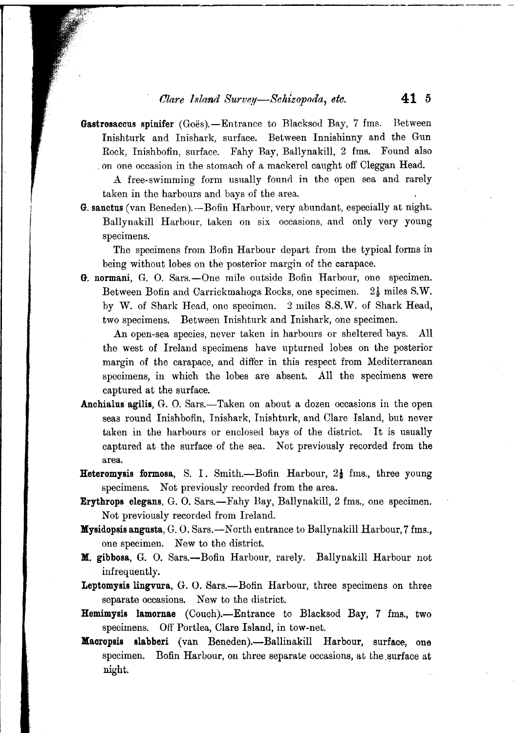### *Olare bsland Survey—Schizopoda, etc.* **41 5**

Gastrosaccus spinifer (Goës).—Entrance to Blacksod Bay, 7 fms. Between Inishturk and Inishark, surface. Between Innishinny and the Gun Rock, Inishbofin, surface. Fahy Bay, Ballynakill, 2 fms. Found also . on one occasion in the stomach of a mackerel caught off Cleggan Head.

A free-swimming form usually found in the open sea and rarely taken in the harbours and bays of the area.

*G.* sanctus (van Beneden).-Bofin Harbour, very abundant, especially at night. Ballynakill Harbour, taken on six occasions, and only very young specimens.

The specimens from Bofin Harbour depart from the typical forms in being without lobes on the posterior margin of the carapace.

*G.* normani, G. *O.* Sars.-One mile outside Bofin Harbour, one specimen. Between Bofin and Carrickmahoga Rocks, one specimen.  $2\frac{1}{2}$  miles S.W. by W. of Shark Head, one specimen. 2 miles S.S. W. of Shark Head, two specimens. Between Inishturk and Inishark, one specimen.

An open-sea species, never taken in harbours or sheltered bays. All the west of Ireland specimens have upturned lobes on the posterior margin of the carapace, and differ in this respect from Mediterranean specimens, in which the lobes are absent. All the specimens were captured at the surface.

- Anchialus agilis, G. O. Sars.—Taken on about a dozen occasions in the open seas round Inishbofin, Inishark, Inishturk, and Clare Island, but never taken in the harbours or enclosed bays of the district. It is usually captured at the surface of the sea. Not previously recorded from the area.
- **Heteromysis formosa**, S. I. Smith.—Bofin Harbour,  $2\frac{1}{3}$  fms., three young specimens. Not previously recorded from the area.
- Erythrops elegans, G. *O.* Sars.-Fahy Bay, Ballynakill, 2 fms., one specimen. Not previously recorded from Ireland.
- Mysidopsis angusta, G. *O.* Sars.-N orth entrance to Ballynakill Harbour,7 fms., one specimen. New to the district.
- M. gibbosa, G. *O.* Sars.-Bofin Harbour, rarely. Ballynakill Harbour not infrequently.
- Leptomysis lingvura, G. O. Sars.--Bofin Harbour, three specimens on three separate occasions. New to the district.
- Hemimysis lamornae (Couch).-Entrance to Blacksod Bay, 7 fms., two specimens. Off Portlea, Clare Island, in tow-net.
- Macropsis slabberi (van Beneden).--Ballinakill Harbour, surface, one specimen. Bofin Harbour, on three separate occasions, at the surface at night.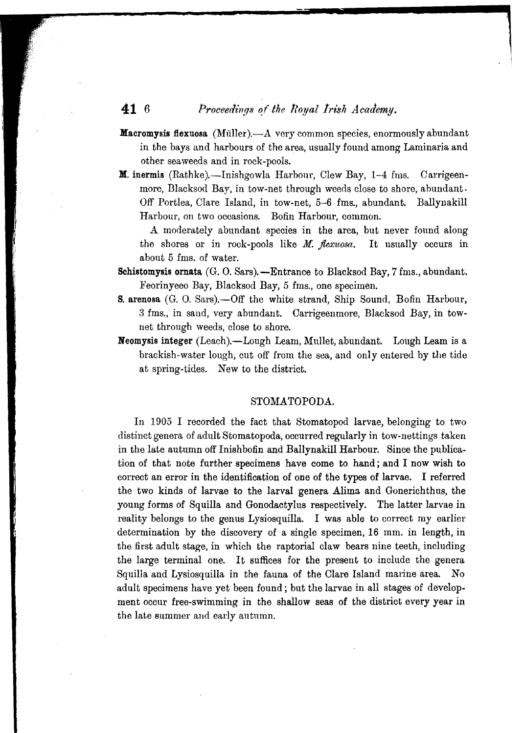# **41** 6 *Proceedings of the Royal Irish Academy.*

- **Macromysis flexuosa** (Müller). $-A$  very common species, enormously abundant in the bays and harbours of the area, usually found among Laminaria and other seaweeds and in rock-pools.
- **M.** inermis (Rathke).-Inishgowla Harbour, Clew Bay,  $1-4$  fms. Carrigeenmore, Black sod Bay, in tow-net through weeds close to shore, abundant. Off Portlea, Clare Island, in tow-net, 5-6 fms., abundant. Ballynakill Harbour, on two pccasions. Bofin Harbour, common.

A moderately abundant species in the area, but never found along the shores or in rock-pools like *M. flexuosa.* It usually occurs in about 5 fms. of water.

- Schistomysis ornata  $(G. O. Sars)$ . -Entrance to Blacksod Bay, 7 fms., abundant. :Feorinyeeo Bay, Blacksod Bay, 5 fms., one specimen.
- S. arenosa (G. O. Sars). Off the white strand, Ship Sound, Bofin Harbour, 3 fms., in sand, very abundant. Carrigeenmore, Blacksod Bay, in townet through weeds, close to shore.
- Neomysis integer (Leach).-Lough Leam, Mullet, abundant. Lough Leam is a brackish-water lough, cut off from the sea, and only entered by the tide at spring-tides. New to the district.

#### STOMATOPODA.

In 1905 I recorded the fact that Stomatopod larvae, belonging to two distinct genera of adult Stomatopoda, occurred regularly in tow-nettings taken in the late autumn off Inishbofin and Ballynakill Harbour. Since the publication of that note further specimens have come to hand; and I now wish to correct an error in the identification of one of the types of larvae. I referred the two kinds of larvae to the larval genera Alima and Gonerichthus, the young forms of Squilla and Gonodactylus respectively. The latter larvae in reality belongs to the genus Lysiosquilla. I was able to correct my earlier determination by the discovery of a single specimen, 16 mm. in length, in the first adult stage, in which the raptorial claw bears nine teeth, including the large terminal one. It suffices for the present to include the genera Squilla and Lysiosquilla in the fauna of the Clare Island mar'ine area. No adult specimens have yet been found; but the larvae in all stages of development occur free-swimming in the shallow seas of the district every year in the late summer and early autumn.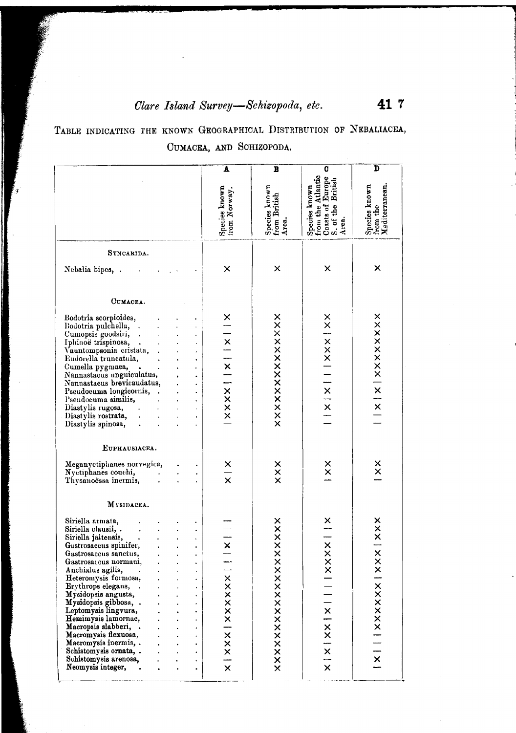# *Olare Island Survey*-Schizopoda, *etc.* 41 7

,I

TABLE INDICATING THE KNOWN GEOGRAPHICAL DISTRIBUTION OF NEBALIACEA, CUMACEA, AND SCHIZOPODA.

I

| Species known<br>from the Atlantic<br>Coasts of Europe<br>S. of the British<br>Area.<br>Species known<br>from the<br>Mediterranean.<br>Species known<br>from British<br>Area.<br>Species known<br>from Norway.<br>SYNCARIDA.<br>×<br>×<br>×<br>×<br>Nebalia bipes, .<br>CUMACEA.<br>xxxxxxxxxxxx<br>Bodotria scorpioides,<br>$\frac{\mathsf{x}}{+}$<br>Bodotria pulchella, .<br>  x     x     x     x  <br>Cumopsis goodsini,<br>$\ddot{\phantom{a}}$<br>Iphinoë trispinosa,<br>$\bullet$<br>Vauntompsonia cristata, .<br>Eudorella truncatula,<br>$\bullet$<br>Cumella pygmaea,<br>$\blacksquare$<br>Nannastacus unguiculatus,<br>$\ddot{\phantom{0}}$<br>Nannastacus brevicaudatus,<br>$\ddot{\phantom{0}}$<br>Pseudocuma longicornis,.<br>Pseudocuma similis,<br>$\ddot{\phantom{0}}$<br>Diastylis rugosa,<br>$\bullet$<br>Diastylis rostrata,<br>¥,<br>$\ddot{\phantom{a}}$<br>Diastylis spinosa,<br>$\ddot{\phantom{0}}$<br>EUPHAUSIACEA.<br>$\frac{\mathsf{x}}{\mathsf{x}}$<br>Meganyctiphanes norvegica,<br>×<br>xxx<br>$\times$<br>Nyctiphanes couchi,<br>$\frac{1}{x}$<br>Thysanoëssa inermis,<br>MYSIDACEA.<br>×<br>$x \times   x \times x$<br>Siriella armata,<br>xxxxxxx<br>Siriella clausii, .<br>$x \times x \times$<br>$\frac{1}{x}$<br>Siriella jaltensis,<br>Gastrosaccus spinifer,<br>Gastrosaccus sanctus,<br>Gastrosaccus normani,<br>$\times$<br>Anchialus agilis,<br>Heteromysis formosa,<br>XXXXXXXXXXX<br>xxxxxxxxx<br><b>xxxxxxx</b><br>Erythrops elegans,<br>Mysidopsis angusta,<br> x xx<br>Mysidopsis gibbosa, .<br>Leptomysis lingvura,<br>Hemimysis lamornae,<br>Macropsis slabberi, .<br>Macromysis flexuosa,<br>Macromysis inermis, .<br>Schistomysis ornata, .<br>X<br>Schistomysis arenosa,<br>$\bullet$<br>$\overline{\mathsf{x}}$<br>$\times$<br>Neomysis integer, |  | Δ | B | C | D |
|--------------------------------------------------------------------------------------------------------------------------------------------------------------------------------------------------------------------------------------------------------------------------------------------------------------------------------------------------------------------------------------------------------------------------------------------------------------------------------------------------------------------------------------------------------------------------------------------------------------------------------------------------------------------------------------------------------------------------------------------------------------------------------------------------------------------------------------------------------------------------------------------------------------------------------------------------------------------------------------------------------------------------------------------------------------------------------------------------------------------------------------------------------------------------------------------------------------------------------------------------------------------------------------------------------------------------------------------------------------------------------------------------------------------------------------------------------------------------------------------------------------------------------------------------------------------------------------------------------------------------------------------------------------------------------------------------------------------------------------------------------------------------------------------------------|--|---|---|---|---|
|                                                                                                                                                                                                                                                                                                                                                                                                                                                                                                                                                                                                                                                                                                                                                                                                                                                                                                                                                                                                                                                                                                                                                                                                                                                                                                                                                                                                                                                                                                                                                                                                                                                                                                                                                                                                        |  |   |   |   |   |
|                                                                                                                                                                                                                                                                                                                                                                                                                                                                                                                                                                                                                                                                                                                                                                                                                                                                                                                                                                                                                                                                                                                                                                                                                                                                                                                                                                                                                                                                                                                                                                                                                                                                                                                                                                                                        |  |   |   |   |   |
|                                                                                                                                                                                                                                                                                                                                                                                                                                                                                                                                                                                                                                                                                                                                                                                                                                                                                                                                                                                                                                                                                                                                                                                                                                                                                                                                                                                                                                                                                                                                                                                                                                                                                                                                                                                                        |  |   |   |   |   |
|                                                                                                                                                                                                                                                                                                                                                                                                                                                                                                                                                                                                                                                                                                                                                                                                                                                                                                                                                                                                                                                                                                                                                                                                                                                                                                                                                                                                                                                                                                                                                                                                                                                                                                                                                                                                        |  |   |   |   |   |
|                                                                                                                                                                                                                                                                                                                                                                                                                                                                                                                                                                                                                                                                                                                                                                                                                                                                                                                                                                                                                                                                                                                                                                                                                                                                                                                                                                                                                                                                                                                                                                                                                                                                                                                                                                                                        |  |   |   |   |   |
|                                                                                                                                                                                                                                                                                                                                                                                                                                                                                                                                                                                                                                                                                                                                                                                                                                                                                                                                                                                                                                                                                                                                                                                                                                                                                                                                                                                                                                                                                                                                                                                                                                                                                                                                                                                                        |  |   |   |   |   |
|                                                                                                                                                                                                                                                                                                                                                                                                                                                                                                                                                                                                                                                                                                                                                                                                                                                                                                                                                                                                                                                                                                                                                                                                                                                                                                                                                                                                                                                                                                                                                                                                                                                                                                                                                                                                        |  |   |   |   |   |
|                                                                                                                                                                                                                                                                                                                                                                                                                                                                                                                                                                                                                                                                                                                                                                                                                                                                                                                                                                                                                                                                                                                                                                                                                                                                                                                                                                                                                                                                                                                                                                                                                                                                                                                                                                                                        |  |   |   |   |   |
|                                                                                                                                                                                                                                                                                                                                                                                                                                                                                                                                                                                                                                                                                                                                                                                                                                                                                                                                                                                                                                                                                                                                                                                                                                                                                                                                                                                                                                                                                                                                                                                                                                                                                                                                                                                                        |  |   |   |   |   |
|                                                                                                                                                                                                                                                                                                                                                                                                                                                                                                                                                                                                                                                                                                                                                                                                                                                                                                                                                                                                                                                                                                                                                                                                                                                                                                                                                                                                                                                                                                                                                                                                                                                                                                                                                                                                        |  |   |   |   |   |
|                                                                                                                                                                                                                                                                                                                                                                                                                                                                                                                                                                                                                                                                                                                                                                                                                                                                                                                                                                                                                                                                                                                                                                                                                                                                                                                                                                                                                                                                                                                                                                                                                                                                                                                                                                                                        |  |   |   |   |   |
|                                                                                                                                                                                                                                                                                                                                                                                                                                                                                                                                                                                                                                                                                                                                                                                                                                                                                                                                                                                                                                                                                                                                                                                                                                                                                                                                                                                                                                                                                                                                                                                                                                                                                                                                                                                                        |  |   |   |   |   |
|                                                                                                                                                                                                                                                                                                                                                                                                                                                                                                                                                                                                                                                                                                                                                                                                                                                                                                                                                                                                                                                                                                                                                                                                                                                                                                                                                                                                                                                                                                                                                                                                                                                                                                                                                                                                        |  |   |   |   |   |
|                                                                                                                                                                                                                                                                                                                                                                                                                                                                                                                                                                                                                                                                                                                                                                                                                                                                                                                                                                                                                                                                                                                                                                                                                                                                                                                                                                                                                                                                                                                                                                                                                                                                                                                                                                                                        |  |   |   |   |   |
|                                                                                                                                                                                                                                                                                                                                                                                                                                                                                                                                                                                                                                                                                                                                                                                                                                                                                                                                                                                                                                                                                                                                                                                                                                                                                                                                                                                                                                                                                                                                                                                                                                                                                                                                                                                                        |  |   |   |   |   |
|                                                                                                                                                                                                                                                                                                                                                                                                                                                                                                                                                                                                                                                                                                                                                                                                                                                                                                                                                                                                                                                                                                                                                                                                                                                                                                                                                                                                                                                                                                                                                                                                                                                                                                                                                                                                        |  |   |   |   |   |
|                                                                                                                                                                                                                                                                                                                                                                                                                                                                                                                                                                                                                                                                                                                                                                                                                                                                                                                                                                                                                                                                                                                                                                                                                                                                                                                                                                                                                                                                                                                                                                                                                                                                                                                                                                                                        |  |   |   |   |   |
|                                                                                                                                                                                                                                                                                                                                                                                                                                                                                                                                                                                                                                                                                                                                                                                                                                                                                                                                                                                                                                                                                                                                                                                                                                                                                                                                                                                                                                                                                                                                                                                                                                                                                                                                                                                                        |  |   |   |   |   |
|                                                                                                                                                                                                                                                                                                                                                                                                                                                                                                                                                                                                                                                                                                                                                                                                                                                                                                                                                                                                                                                                                                                                                                                                                                                                                                                                                                                                                                                                                                                                                                                                                                                                                                                                                                                                        |  |   |   |   |   |
|                                                                                                                                                                                                                                                                                                                                                                                                                                                                                                                                                                                                                                                                                                                                                                                                                                                                                                                                                                                                                                                                                                                                                                                                                                                                                                                                                                                                                                                                                                                                                                                                                                                                                                                                                                                                        |  |   |   |   |   |
|                                                                                                                                                                                                                                                                                                                                                                                                                                                                                                                                                                                                                                                                                                                                                                                                                                                                                                                                                                                                                                                                                                                                                                                                                                                                                                                                                                                                                                                                                                                                                                                                                                                                                                                                                                                                        |  |   |   |   |   |
|                                                                                                                                                                                                                                                                                                                                                                                                                                                                                                                                                                                                                                                                                                                                                                                                                                                                                                                                                                                                                                                                                                                                                                                                                                                                                                                                                                                                                                                                                                                                                                                                                                                                                                                                                                                                        |  |   |   |   |   |
|                                                                                                                                                                                                                                                                                                                                                                                                                                                                                                                                                                                                                                                                                                                                                                                                                                                                                                                                                                                                                                                                                                                                                                                                                                                                                                                                                                                                                                                                                                                                                                                                                                                                                                                                                                                                        |  |   |   |   |   |
|                                                                                                                                                                                                                                                                                                                                                                                                                                                                                                                                                                                                                                                                                                                                                                                                                                                                                                                                                                                                                                                                                                                                                                                                                                                                                                                                                                                                                                                                                                                                                                                                                                                                                                                                                                                                        |  |   |   |   |   |
|                                                                                                                                                                                                                                                                                                                                                                                                                                                                                                                                                                                                                                                                                                                                                                                                                                                                                                                                                                                                                                                                                                                                                                                                                                                                                                                                                                                                                                                                                                                                                                                                                                                                                                                                                                                                        |  |   |   |   |   |
|                                                                                                                                                                                                                                                                                                                                                                                                                                                                                                                                                                                                                                                                                                                                                                                                                                                                                                                                                                                                                                                                                                                                                                                                                                                                                                                                                                                                                                                                                                                                                                                                                                                                                                                                                                                                        |  |   |   |   |   |
|                                                                                                                                                                                                                                                                                                                                                                                                                                                                                                                                                                                                                                                                                                                                                                                                                                                                                                                                                                                                                                                                                                                                                                                                                                                                                                                                                                                                                                                                                                                                                                                                                                                                                                                                                                                                        |  |   |   |   |   |
|                                                                                                                                                                                                                                                                                                                                                                                                                                                                                                                                                                                                                                                                                                                                                                                                                                                                                                                                                                                                                                                                                                                                                                                                                                                                                                                                                                                                                                                                                                                                                                                                                                                                                                                                                                                                        |  |   |   |   |   |
|                                                                                                                                                                                                                                                                                                                                                                                                                                                                                                                                                                                                                                                                                                                                                                                                                                                                                                                                                                                                                                                                                                                                                                                                                                                                                                                                                                                                                                                                                                                                                                                                                                                                                                                                                                                                        |  |   |   |   |   |
|                                                                                                                                                                                                                                                                                                                                                                                                                                                                                                                                                                                                                                                                                                                                                                                                                                                                                                                                                                                                                                                                                                                                                                                                                                                                                                                                                                                                                                                                                                                                                                                                                                                                                                                                                                                                        |  |   |   |   |   |
|                                                                                                                                                                                                                                                                                                                                                                                                                                                                                                                                                                                                                                                                                                                                                                                                                                                                                                                                                                                                                                                                                                                                                                                                                                                                                                                                                                                                                                                                                                                                                                                                                                                                                                                                                                                                        |  |   |   |   |   |
|                                                                                                                                                                                                                                                                                                                                                                                                                                                                                                                                                                                                                                                                                                                                                                                                                                                                                                                                                                                                                                                                                                                                                                                                                                                                                                                                                                                                                                                                                                                                                                                                                                                                                                                                                                                                        |  |   |   |   |   |
|                                                                                                                                                                                                                                                                                                                                                                                                                                                                                                                                                                                                                                                                                                                                                                                                                                                                                                                                                                                                                                                                                                                                                                                                                                                                                                                                                                                                                                                                                                                                                                                                                                                                                                                                                                                                        |  |   |   |   |   |
|                                                                                                                                                                                                                                                                                                                                                                                                                                                                                                                                                                                                                                                                                                                                                                                                                                                                                                                                                                                                                                                                                                                                                                                                                                                                                                                                                                                                                                                                                                                                                                                                                                                                                                                                                                                                        |  |   |   |   |   |
|                                                                                                                                                                                                                                                                                                                                                                                                                                                                                                                                                                                                                                                                                                                                                                                                                                                                                                                                                                                                                                                                                                                                                                                                                                                                                                                                                                                                                                                                                                                                                                                                                                                                                                                                                                                                        |  |   |   |   |   |
|                                                                                                                                                                                                                                                                                                                                                                                                                                                                                                                                                                                                                                                                                                                                                                                                                                                                                                                                                                                                                                                                                                                                                                                                                                                                                                                                                                                                                                                                                                                                                                                                                                                                                                                                                                                                        |  |   |   |   |   |
|                                                                                                                                                                                                                                                                                                                                                                                                                                                                                                                                                                                                                                                                                                                                                                                                                                                                                                                                                                                                                                                                                                                                                                                                                                                                                                                                                                                                                                                                                                                                                                                                                                                                                                                                                                                                        |  |   |   |   |   |
|                                                                                                                                                                                                                                                                                                                                                                                                                                                                                                                                                                                                                                                                                                                                                                                                                                                                                                                                                                                                                                                                                                                                                                                                                                                                                                                                                                                                                                                                                                                                                                                                                                                                                                                                                                                                        |  |   |   |   |   |
|                                                                                                                                                                                                                                                                                                                                                                                                                                                                                                                                                                                                                                                                                                                                                                                                                                                                                                                                                                                                                                                                                                                                                                                                                                                                                                                                                                                                                                                                                                                                                                                                                                                                                                                                                                                                        |  |   |   |   |   |
|                                                                                                                                                                                                                                                                                                                                                                                                                                                                                                                                                                                                                                                                                                                                                                                                                                                                                                                                                                                                                                                                                                                                                                                                                                                                                                                                                                                                                                                                                                                                                                                                                                                                                                                                                                                                        |  |   |   |   |   |
|                                                                                                                                                                                                                                                                                                                                                                                                                                                                                                                                                                                                                                                                                                                                                                                                                                                                                                                                                                                                                                                                                                                                                                                                                                                                                                                                                                                                                                                                                                                                                                                                                                                                                                                                                                                                        |  |   |   |   |   |
|                                                                                                                                                                                                                                                                                                                                                                                                                                                                                                                                                                                                                                                                                                                                                                                                                                                                                                                                                                                                                                                                                                                                                                                                                                                                                                                                                                                                                                                                                                                                                                                                                                                                                                                                                                                                        |  |   |   |   |   |
|                                                                                                                                                                                                                                                                                                                                                                                                                                                                                                                                                                                                                                                                                                                                                                                                                                                                                                                                                                                                                                                                                                                                                                                                                                                                                                                                                                                                                                                                                                                                                                                                                                                                                                                                                                                                        |  |   |   |   |   |
|                                                                                                                                                                                                                                                                                                                                                                                                                                                                                                                                                                                                                                                                                                                                                                                                                                                                                                                                                                                                                                                                                                                                                                                                                                                                                                                                                                                                                                                                                                                                                                                                                                                                                                                                                                                                        |  |   |   |   |   |
|                                                                                                                                                                                                                                                                                                                                                                                                                                                                                                                                                                                                                                                                                                                                                                                                                                                                                                                                                                                                                                                                                                                                                                                                                                                                                                                                                                                                                                                                                                                                                                                                                                                                                                                                                                                                        |  |   |   |   |   |
|                                                                                                                                                                                                                                                                                                                                                                                                                                                                                                                                                                                                                                                                                                                                                                                                                                                                                                                                                                                                                                                                                                                                                                                                                                                                                                                                                                                                                                                                                                                                                                                                                                                                                                                                                                                                        |  |   |   |   |   |
|                                                                                                                                                                                                                                                                                                                                                                                                                                                                                                                                                                                                                                                                                                                                                                                                                                                                                                                                                                                                                                                                                                                                                                                                                                                                                                                                                                                                                                                                                                                                                                                                                                                                                                                                                                                                        |  |   |   |   |   |
|                                                                                                                                                                                                                                                                                                                                                                                                                                                                                                                                                                                                                                                                                                                                                                                                                                                                                                                                                                                                                                                                                                                                                                                                                                                                                                                                                                                                                                                                                                                                                                                                                                                                                                                                                                                                        |  |   |   |   |   |
|                                                                                                                                                                                                                                                                                                                                                                                                                                                                                                                                                                                                                                                                                                                                                                                                                                                                                                                                                                                                                                                                                                                                                                                                                                                                                                                                                                                                                                                                                                                                                                                                                                                                                                                                                                                                        |  |   |   |   |   |
|                                                                                                                                                                                                                                                                                                                                                                                                                                                                                                                                                                                                                                                                                                                                                                                                                                                                                                                                                                                                                                                                                                                                                                                                                                                                                                                                                                                                                                                                                                                                                                                                                                                                                                                                                                                                        |  |   |   |   |   |
|                                                                                                                                                                                                                                                                                                                                                                                                                                                                                                                                                                                                                                                                                                                                                                                                                                                                                                                                                                                                                                                                                                                                                                                                                                                                                                                                                                                                                                                                                                                                                                                                                                                                                                                                                                                                        |  |   |   |   |   |
|                                                                                                                                                                                                                                                                                                                                                                                                                                                                                                                                                                                                                                                                                                                                                                                                                                                                                                                                                                                                                                                                                                                                                                                                                                                                                                                                                                                                                                                                                                                                                                                                                                                                                                                                                                                                        |  |   |   |   |   |
|                                                                                                                                                                                                                                                                                                                                                                                                                                                                                                                                                                                                                                                                                                                                                                                                                                                                                                                                                                                                                                                                                                                                                                                                                                                                                                                                                                                                                                                                                                                                                                                                                                                                                                                                                                                                        |  |   |   |   |   |
|                                                                                                                                                                                                                                                                                                                                                                                                                                                                                                                                                                                                                                                                                                                                                                                                                                                                                                                                                                                                                                                                                                                                                                                                                                                                                                                                                                                                                                                                                                                                                                                                                                                                                                                                                                                                        |  |   |   |   |   |
|                                                                                                                                                                                                                                                                                                                                                                                                                                                                                                                                                                                                                                                                                                                                                                                                                                                                                                                                                                                                                                                                                                                                                                                                                                                                                                                                                                                                                                                                                                                                                                                                                                                                                                                                                                                                        |  |   |   |   |   |
|                                                                                                                                                                                                                                                                                                                                                                                                                                                                                                                                                                                                                                                                                                                                                                                                                                                                                                                                                                                                                                                                                                                                                                                                                                                                                                                                                                                                                                                                                                                                                                                                                                                                                                                                                                                                        |  |   |   |   |   |
|                                                                                                                                                                                                                                                                                                                                                                                                                                                                                                                                                                                                                                                                                                                                                                                                                                                                                                                                                                                                                                                                                                                                                                                                                                                                                                                                                                                                                                                                                                                                                                                                                                                                                                                                                                                                        |  |   |   |   |   |
|                                                                                                                                                                                                                                                                                                                                                                                                                                                                                                                                                                                                                                                                                                                                                                                                                                                                                                                                                                                                                                                                                                                                                                                                                                                                                                                                                                                                                                                                                                                                                                                                                                                                                                                                                                                                        |  |   |   |   |   |
|                                                                                                                                                                                                                                                                                                                                                                                                                                                                                                                                                                                                                                                                                                                                                                                                                                                                                                                                                                                                                                                                                                                                                                                                                                                                                                                                                                                                                                                                                                                                                                                                                                                                                                                                                                                                        |  |   |   |   |   |
|                                                                                                                                                                                                                                                                                                                                                                                                                                                                                                                                                                                                                                                                                                                                                                                                                                                                                                                                                                                                                                                                                                                                                                                                                                                                                                                                                                                                                                                                                                                                                                                                                                                                                                                                                                                                        |  |   |   |   |   |
|                                                                                                                                                                                                                                                                                                                                                                                                                                                                                                                                                                                                                                                                                                                                                                                                                                                                                                                                                                                                                                                                                                                                                                                                                                                                                                                                                                                                                                                                                                                                                                                                                                                                                                                                                                                                        |  |   |   |   |   |
|                                                                                                                                                                                                                                                                                                                                                                                                                                                                                                                                                                                                                                                                                                                                                                                                                                                                                                                                                                                                                                                                                                                                                                                                                                                                                                                                                                                                                                                                                                                                                                                                                                                                                                                                                                                                        |  |   |   |   |   |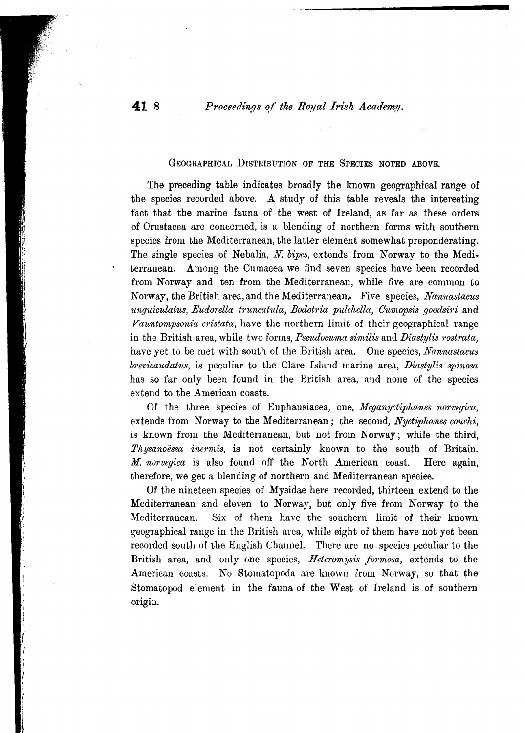**41** 8 *Proceedings of the Royal Irish Academy.* 

### GEOGRAPHICAL DISTRIBUTION OF THE SPECIES NOTED ABOVE.

The preceding table indicates broadly the known geographical range of the species recorded above. A study of this table reveals the interesting fact that the marine fauna of the west of Ireland, as far as these orders of Orustacea are concerned, is a blending of northern forms with southern species from the Mediterranean, the latter element somewhat preponderating. The single species of Nebalia, *N. bipes,* extends from Norway to the Medi. terranean. Among the Cumacea we find seven species have been recorded from Norway and ten from the Mediterranean, while five are common to Norway, the British area, and the Mediterranean.. Five species, *Nannastacus ~lnguiculatus, Eudorella truncahtla, Bodot1'ia pulcltella, G1tmopsisgoodsi1'i* and *Vauntompsonia cristata*, have the northern limit of their geographical range in the British area, while two forms, *Pseudocuma similis* and *Diastylis rostrata*, have yet to be met with south of the British area. One species, *Nannastacus brc'I:icaudatus,*is peculiar to the Clare Island marine area, *IJiastylis spinosa* has so far only been found in the British area, and none of the species extend to the American coasts.

Of the three species of Euphausiacea, one, Meganyctiphanes norvegica, extends from Norway to the Mediterranean; the second, *Nyctiphanes couchi*, is known from the Mediterranean, but not from Norway; while the third, *Thysanoessa inermis,* is not certainly known to the south of Britain. *M. norvcgica* is also found off the North American coast. Here again, therefore, we get a blending of northern and Mediterranean species.

Of the nineteen species of Mysidae here recorded, thirteen extend to the Mediterranean and eleven to Norway, but only five from Norway to the Mediterranean. Six of them have the southern limit of their known geographical range in the British area, while eight of them have not yet been recorded south of the English Channel. There are no species peculiar to the British area, and only one species, *Heteromysis formosa*, extends to the American coasts. No Stomatopoda are known from Norway, so that the Stomatopod element in the fauna of the West of Ireland is of southern origin.

I !

(

!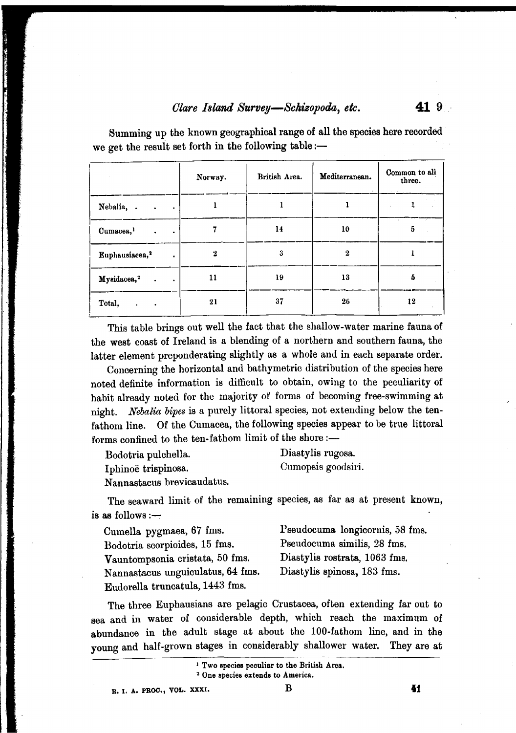|                                                | Norway.  | British Area. | Mediterranean. | Common to all<br>three. |
|------------------------------------------------|----------|---------------|----------------|-------------------------|
| Nebalia, .<br>$\sim$ $\sim$<br>$\sim 100$      |          |               |                |                         |
| Cumacea, <sup>1</sup><br>$\cdot$<br>$\bullet$  |          | 14            | 10             | 5                       |
| Euphausiacea, <sup>2</sup><br>$\bullet$        | $\bf{2}$ | 3             | $\bf{2}$       |                         |
| Mysidacea, <sup>2</sup><br>$\sim$<br>$\bullet$ | 11       | 19            | 13             | 5                       |
| Total,                                         | 21       | 37            | 26             | 12                      |

Summing up the known geographical range of all the species here recorded we get the result set forth in the following table:-

This table brings out well the fact that the shallow-water marine fauna of the west coast of Ireland is a blending of a northern and southern fauna, the latter element preponderating slightly as a whole and in each separate order.

Concerning the horizontal and bathymetric distribution of the species here noted definite information is difficult to obtain, owing to the peculiarity of habit already noted for the majority of forms of becoming free-swimming at night. *Nebalia bipes*is a purely littoral species, not extending below the tenfathom line. Of the Cumacea, the following species appear to be true littoral forms confined to the ten-fathom limit of the shore:-

| Bodotria pulchella.        | Diastylis rugosa.  |
|----------------------------|--------------------|
| Iphinoë trispinosa.        | Cumopsis goodsiri. |
| Nannastacus brevicaudatus. |                    |

The seaward limit of the remaining species, as far as at present known, is as follows : $-$ 

| Cumella pygmaea, 67 fms.          | Pseudocuma longicornis, 58 fms. |
|-----------------------------------|---------------------------------|
| Bodotria scorpioides, 15 fms.     | Pseudocuma similis, 28 fms.     |
| Vauntompsonia cristata, 50 fms.   | Diastylis rostrata, 1063 fms.   |
| Nannastacus unguiculatus, 64 fms. | Diastylis spinosa, 183 fms.     |
| Eudorella truncatula, 1443 fms.   |                                 |

The three Euphausians are pelagic Crustacea, often extending far out to sea and in water of considerable depth, which reach the maximum of abundance in the adult stage at about the lOO-fathom line, and in the young and half-grown stages in considerably shallower water. They are at

<sup>1</sup> Two species peculiar to the British Area. 2 One species extends to America.